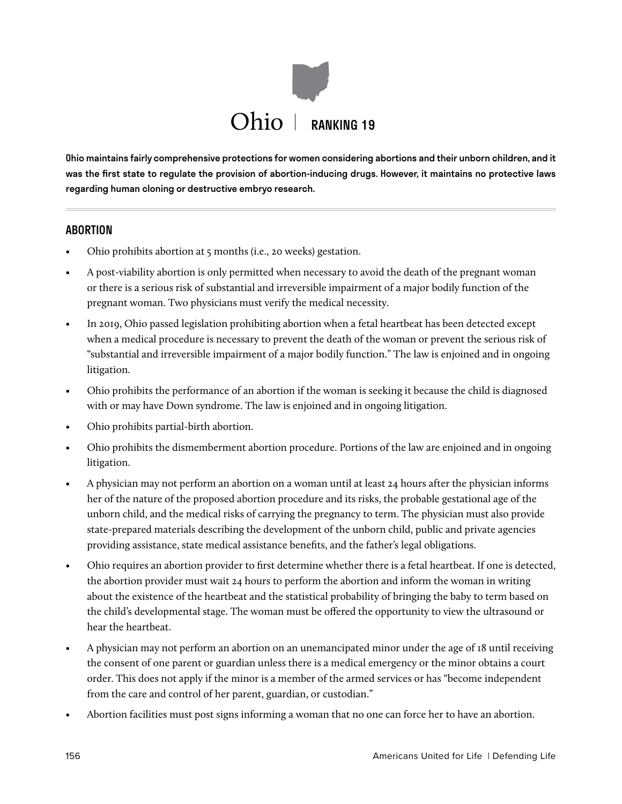

Ohio maintains fairly comprehensive protections for women considering abortions and their unborn children, and it was the first state to regulate the provision of abortion-inducing drugs. However, it maintains no protective laws regarding human cloning or destructive embryo research.

### **ABORTION**

- Ohio prohibits abortion at 5 months (i.e., 20 weeks) gestation.
- A post-viability abortion is only permitted when necessary to avoid the death of the pregnant woman or there is a serious risk of substantial and irreversible impairment of a major bodily function of the pregnant woman. Two physicians must verify the medical necessity.
- In 2019, Ohio passed legislation prohibiting abortion when a fetal heartbeat has been detected except when a medical procedure is necessary to prevent the death of the woman or prevent the serious risk of "substantial and irreversible impairment of a major bodily function." The law is enjoined and in ongoing litigation.
- Ohio prohibits the performance of an abortion if the woman is seeking it because the child is diagnosed with or may have Down syndrome. The law is enjoined and in ongoing litigation.
- Ohio prohibits partial-birth abortion.
- Ohio prohibits the dismemberment abortion procedure. Portions of the law are enjoined and in ongoing litigation.
- A physician may not perform an abortion on a woman until at least 24 hours after the physician informs her of the nature of the proposed abortion procedure and its risks, the probable gestational age of the unborn child, and the medical risks of carrying the pregnancy to term. The physician must also provide state-prepared materials describing the development of the unborn child, public and private agencies providing assistance, state medical assistance benefits, and the father's legal obligations.
- Ohio requires an abortion provider to first determine whether there is a fetal heartbeat. If one is detected, the abortion provider must wait 24 hours to perform the abortion and inform the woman in writing about the existence of the heartbeat and the statistical probability of bringing the baby to term based on the child's developmental stage. The woman must be offered the opportunity to view the ultrasound or hear the heartbeat.
- A physician may not perform an abortion on an unemancipated minor under the age of 18 until receiving the consent of one parent or guardian unless there is a medical emergency or the minor obtains a court order. This does not apply if the minor is a member of the armed services or has "become independent from the care and control of her parent, guardian, or custodian."
- Abortion facilities must post signs informing a woman that no one can force her to have an abortion.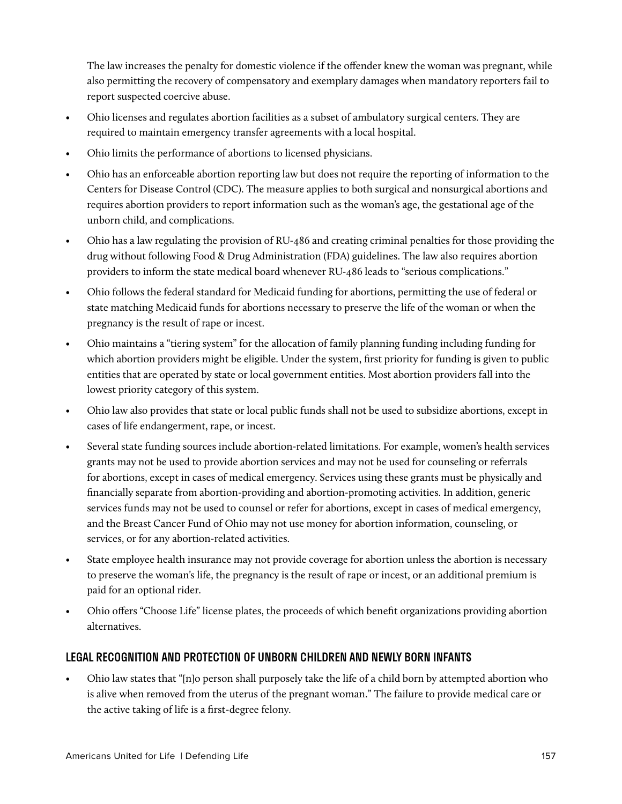The law increases the penalty for domestic violence if the offender knew the woman was pregnant, while also permitting the recovery of compensatory and exemplary damages when mandatory reporters fail to report suspected coercive abuse.

- Ohio licenses and regulates abortion facilities as a subset of ambulatory surgical centers. They are required to maintain emergency transfer agreements with a local hospital.
- Ohio limits the performance of abortions to licensed physicians.
- Ohio has an enforceable abortion reporting law but does not require the reporting of information to the Centers for Disease Control (CDC). The measure applies to both surgical and nonsurgical abortions and requires abortion providers to report information such as the woman's age, the gestational age of the unborn child, and complications.
- Ohio has a law regulating the provision of RU-486 and creating criminal penalties for those providing the drug without following Food & Drug Administration (FDA) guidelines. The law also requires abortion providers to inform the state medical board whenever RU-486 leads to "serious complications."
- Ohio follows the federal standard for Medicaid funding for abortions, permitting the use of federal or state matching Medicaid funds for abortions necessary to preserve the life of the woman or when the pregnancy is the result of rape or incest.
- Ohio maintains a "tiering system" for the allocation of family planning funding including funding for which abortion providers might be eligible. Under the system, first priority for funding is given to public entities that are operated by state or local government entities. Most abortion providers fall into the lowest priority category of this system.
- Ohio law also provides that state or local public funds shall not be used to subsidize abortions, except in cases of life endangerment, rape, or incest.
- Several state funding sources include abortion-related limitations. For example, women's health services grants may not be used to provide abortion services and may not be used for counseling or referrals for abortions, except in cases of medical emergency. Services using these grants must be physically and financially separate from abortion-providing and abortion-promoting activities. In addition, generic services funds may not be used to counsel or refer for abortions, except in cases of medical emergency, and the Breast Cancer Fund of Ohio may not use money for abortion information, counseling, or services, or for any abortion-related activities.
- State employee health insurance may not provide coverage for abortion unless the abortion is necessary to preserve the woman's life, the pregnancy is the result of rape or incest, or an additional premium is paid for an optional rider.
- Ohio offers "Choose Life" license plates, the proceeds of which benefit organizations providing abortion alternatives.

# LEGAL RECOGNITION AND PROTECTION OF UNBORN CHILDREN AND NEWLY BORN INFANTS

• Ohio law states that "[n]o person shall purposely take the life of a child born by attempted abortion who is alive when removed from the uterus of the pregnant woman." The failure to provide medical care or the active taking of life is a first-degree felony.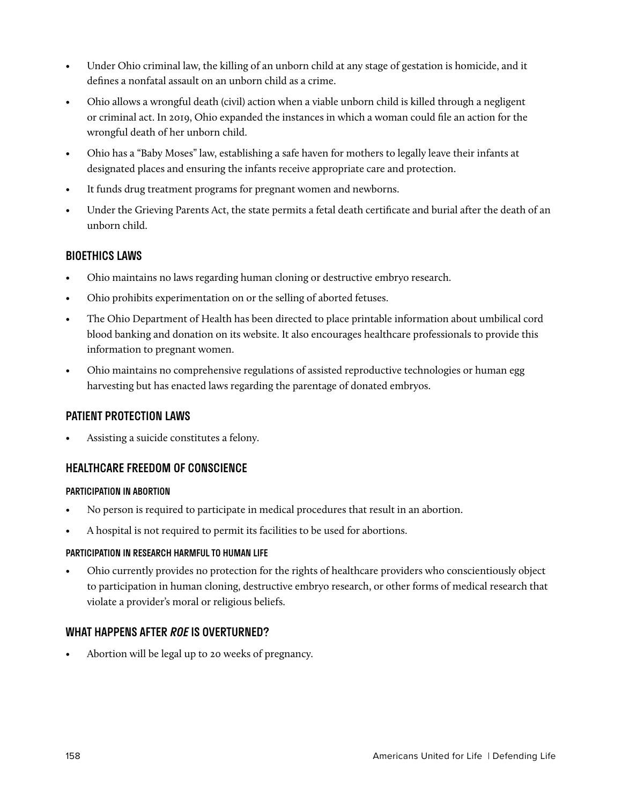- Under Ohio criminal law, the killing of an unborn child at any stage of gestation is homicide, and it defines a nonfatal assault on an unborn child as a crime.
- Ohio allows a wrongful death (civil) action when a viable unborn child is killed through a negligent or criminal act. In 2019, Ohio expanded the instances in which a woman could file an action for the wrongful death of her unborn child.
- Ohio has a "Baby Moses" law, establishing a safe haven for mothers to legally leave their infants at designated places and ensuring the infants receive appropriate care and protection.
- It funds drug treatment programs for pregnant women and newborns.
- Under the Grieving Parents Act, the state permits a fetal death certificate and burial after the death of an unborn child.

### BIOETHICS LAWS

- Ohio maintains no laws regarding human cloning or destructive embryo research.
- Ohio prohibits experimentation on or the selling of aborted fetuses.
- The Ohio Department of Health has been directed to place printable information about umbilical cord blood banking and donation on its website. It also encourages healthcare professionals to provide this information to pregnant women.
- Ohio maintains no comprehensive regulations of assisted reproductive technologies or human egg harvesting but has enacted laws regarding the parentage of donated embryos.

### PATIENT PROTECTION LAWS

Assisting a suicide constitutes a felony.

# HEALTHCARE FREEDOM OF CONSCIENCE

### PARTICIPATION IN ABORTION

- No person is required to participate in medical procedures that result in an abortion.
- A hospital is not required to permit its facilities to be used for abortions.

### PARTICIPATION IN RESEARCH HARMFUL TO HUMAN LIFE

• Ohio currently provides no protection for the rights of healthcare providers who conscientiously object to participation in human cloning, destructive embryo research, or other forms of medical research that violate a provider's moral or religious beliefs.

# WHAT HAPPENS AFTER *ROE* IS OVERTURNED?

• Abortion will be legal up to 20 weeks of pregnancy.